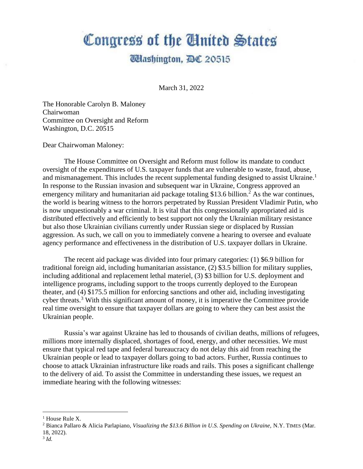## Congress of the Cluited States

## **Udashington, AC 20515**

March 31, 2022

The Honorable Carolyn B. Maloney Chairwoman Committee on Oversight and Reform Washington, D.C. 20515

Dear Chairwoman Maloney:

The House Committee on Oversight and Reform must follow its mandate to conduct oversight of the expenditures of U.S. taxpayer funds that are vulnerable to waste, fraud, abuse, and mismanagement. This includes the recent supplemental funding designed to assist Ukraine.<sup>1</sup> In response to the Russian invasion and subsequent war in Ukraine, Congress approved an emergency military and humanitarian aid package totaling \$13.6 billion.<sup>2</sup> As the war continues, the world is bearing witness to the horrors perpetrated by Russian President Vladimir Putin, who is now unquestionably a war criminal. It is vital that this congressionally appropriated aid is distributed effectively and efficiently to best support not only the Ukrainian military resistance but also those Ukrainian civilians currently under Russian siege or displaced by Russian aggression. As such, we call on you to immediately convene a hearing to oversee and evaluate agency performance and effectiveness in the distribution of U.S. taxpayer dollars in Ukraine.

The recent aid package was divided into four primary categories: (1) \$6.9 billion for traditional foreign aid, including humanitarian assistance, (2) \$3.5 billion for military supplies, including additional and replacement lethal materiel, (3) \$3 billion for U.S. deployment and intelligence programs, including support to the troops currently deployed to the European theater, and (4) \$175.5 million for enforcing sanctions and other aid, including investigating cyber threats.<sup>3</sup> With this significant amount of money, it is imperative the Committee provide real time oversight to ensure that taxpayer dollars are going to where they can best assist the Ukrainian people.

Russia's war against Ukraine has led to thousands of civilian deaths, millions of refugees, millions more internally displaced, shortages of food, energy, and other necessities. We must ensure that typical red tape and federal bureaucracy do not delay this aid from reaching the Ukrainian people or lead to taxpayer dollars going to bad actors. Further, Russia continues to choose to attack Ukrainian infrastructure like roads and rails. This poses a significant challenge to the delivery of aid. To assist the Committee in understanding these issues, we request an immediate hearing with the following witnesses:

 $<sup>1</sup>$  House Rule X.</sup>

<sup>2</sup> Bianca Pallaro & Alicia Parlapiano, *Visualizing the \$13.6 Billion in U.S. Spending on Ukraine,* N.Y. TIMES (Mar. 18, 2022).

<sup>3</sup> *Id.*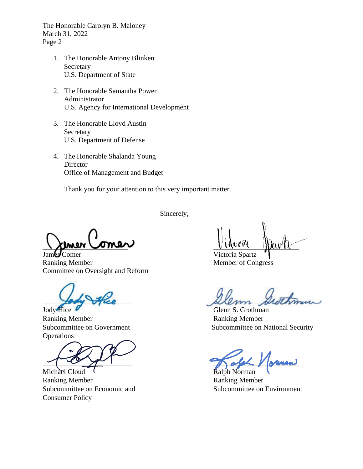The Honorable Carolyn B. Maloney March 31, 2022 Page 2

- 1. The Honorable Antony Blinken Secretary U.S. Department of State
- 2. The Honorable Samantha Power Administrator U.S. Agency for International Development
- 3. The Honorable Lloyd Austin Secretary U.S. Department of Defense
- 4. The Honorable Shalanda Young **Director** Office of Management and Budget

Thank you for your attention to this very important matter.

Sincerely,

James Comer Victoria Spartz Ranking Member Member of Congress Committee on Oversight and Reform

Jody Hice Glenn S. Grothman Ranking Member **Ranking Member Operations** 

Michael Cloud  $\overline{\phantom{a}}$ Ranking Member **Ranking Member** Ranking Member Subcommittee on Economic and Subcommittee on Environment Consumer Policy

Lody Hice Relen Steething

Subcommittee on Government Subcommittee on National Security

 $\sim$